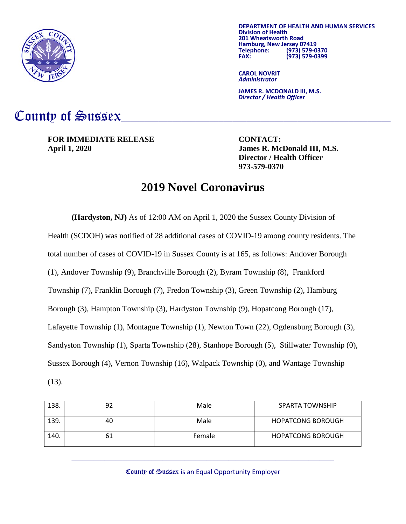

**DEPARTMENT OF HEALTH AND HUMAN SERVICES Division of Health 201 Hamburg, New Jersey 07419<br>Telephone: (973) 579-0 Telephone: (973) 579-0370 FAX: (973) 579-0399**

**CAROL NOVRIT** *Administrator*

**JAMES R. MCDONALD III, M.S.** *Director / Health Officer*

## County of Sussex

**FOR IMMEDIATE RELEASE CONTACT: April 1, 2020 James R. McDonald III, M.S.**

**Director / Health Officer 973-579-0370**

## **2019 Novel Coronavirus**

**(Hardyston, NJ)** As of 12:00 AM on April 1, 2020 the Sussex County Division of Health (SCDOH) was notified of 28 additional cases of COVID-19 among county residents. The total number of cases of COVID-19 in Sussex County is at 165, as follows: Andover Borough (1), Andover Township (9), Branchville Borough (2), Byram Township (8), Frankford Township (7), Franklin Borough (7), Fredon Township (3), Green Township (2), Hamburg Borough (3), Hampton Township (3), Hardyston Township (9), Hopatcong Borough (17), Lafayette Township (1), Montague Township (1), Newton Town (22), Ogdensburg Borough (3), Sandyston Township (1), Sparta Township (28), Stanhope Borough (5), Stillwater Township (0), Sussex Borough (4), Vernon Township (16), Walpack Township (0), and Wantage Township (13).

| 138. | 92 | Male   | SPARTA TOWNSHIP          |
|------|----|--------|--------------------------|
| 139. | 40 | Male   | <b>HOPATCONG BOROUGH</b> |
| 140. | bΊ | Female | <b>HOPATCONG BOROUGH</b> |

County of Sussex is an Equal Opportunity Employer

 $\_$  , and the set of the set of the set of the set of the set of the set of the set of the set of the set of the set of the set of the set of the set of the set of the set of the set of the set of the set of the set of th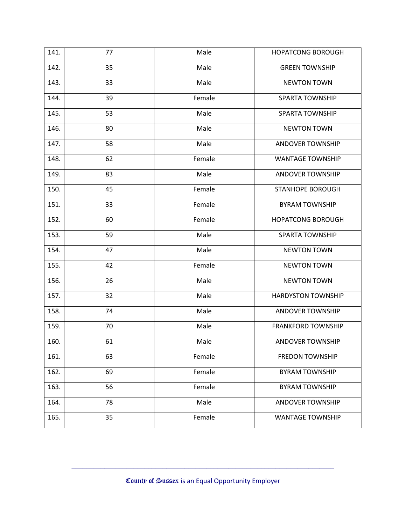| 141. | 77 | Male   | <b>HOPATCONG BOROUGH</b>  |
|------|----|--------|---------------------------|
| 142. | 35 | Male   | <b>GREEN TOWNSHIP</b>     |
| 143. | 33 | Male   | <b>NEWTON TOWN</b>        |
| 144. | 39 | Female | <b>SPARTA TOWNSHIP</b>    |
| 145. | 53 | Male   | <b>SPARTA TOWNSHIP</b>    |
| 146. | 80 | Male   | <b>NEWTON TOWN</b>        |
| 147. | 58 | Male   | <b>ANDOVER TOWNSHIP</b>   |
| 148. | 62 | Female | <b>WANTAGE TOWNSHIP</b>   |
| 149. | 83 | Male   | <b>ANDOVER TOWNSHIP</b>   |
| 150. | 45 | Female | <b>STANHOPE BOROUGH</b>   |
| 151. | 33 | Female | <b>BYRAM TOWNSHIP</b>     |
| 152. | 60 | Female | <b>HOPATCONG BOROUGH</b>  |
| 153. | 59 | Male   | <b>SPARTA TOWNSHIP</b>    |
| 154. | 47 | Male   | <b>NEWTON TOWN</b>        |
| 155. | 42 | Female | <b>NEWTON TOWN</b>        |
| 156. | 26 | Male   | <b>NEWTON TOWN</b>        |
| 157. | 32 | Male   | <b>HARDYSTON TOWNSHIP</b> |
| 158. | 74 | Male   | <b>ANDOVER TOWNSHIP</b>   |
| 159. | 70 | Male   | <b>FRANKFORD TOWNSHIP</b> |
| 160. | 61 | Male   | <b>ANDOVER TOWNSHIP</b>   |
| 161. | 63 | Female | <b>FREDON TOWNSHIP</b>    |
| 162. | 69 | Female | <b>BYRAM TOWNSHIP</b>     |
| 163. | 56 | Female | <b>BYRAM TOWNSHIP</b>     |
| 164. | 78 | Male   | <b>ANDOVER TOWNSHIP</b>   |
| 165. | 35 | Female | <b>WANTAGE TOWNSHIP</b>   |

 $\_$  , and the set of the set of the set of the set of the set of the set of the set of the set of the set of the set of the set of the set of the set of the set of the set of the set of the set of the set of the set of th